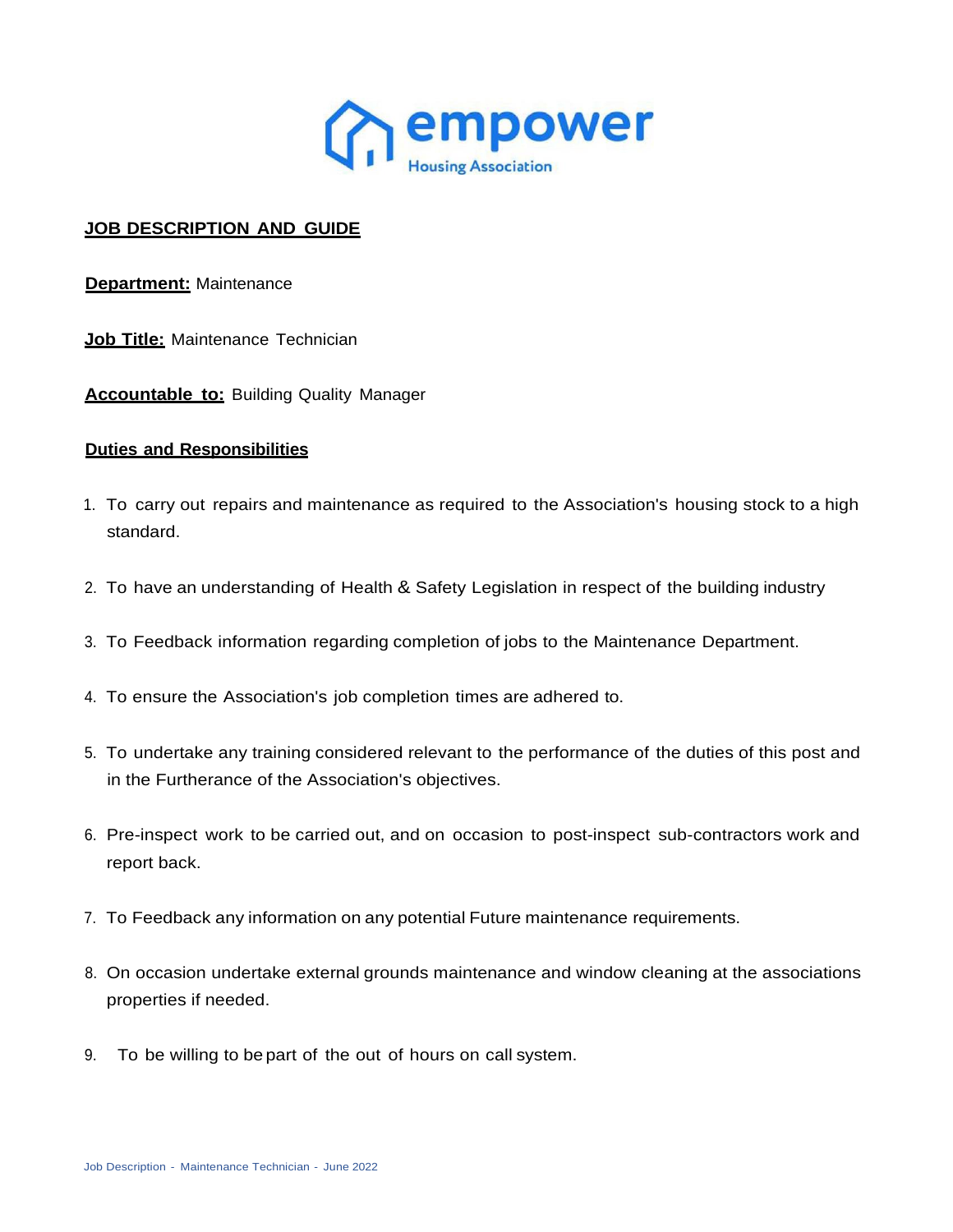

## **JOB DESCRIPTION AND GUIDE**

**Department:** Maintenance

**Job Title:** Maintenance Technician

**Accountable to:** Building Quality Manager

## **Duties and Responsibilities**

- 1. To carry out repairs and maintenance as required to the Association's housing stock to a high standard.
- 2. To have an understanding of Health & Safety Legislation in respect of the building industry
- 3. To Feedback information regarding completion of jobs to the Maintenance Department.
- 4. To ensure the Association's job completion times are adhered to.
- 5. To undertake any training considered relevant to the performance of the duties of this post and in the Furtherance of the Association's objectives.
- 6. Pre-inspect work to be carried out, and on occasion to post-inspect sub-contractors work and report back.
- 7. To Feedback any information on any potential Future maintenance requirements.
- 8. On occasion undertake external grounds maintenance and window cleaning at the associations properties if needed.
- 9. To be willing to be part of the out of hours on call system.